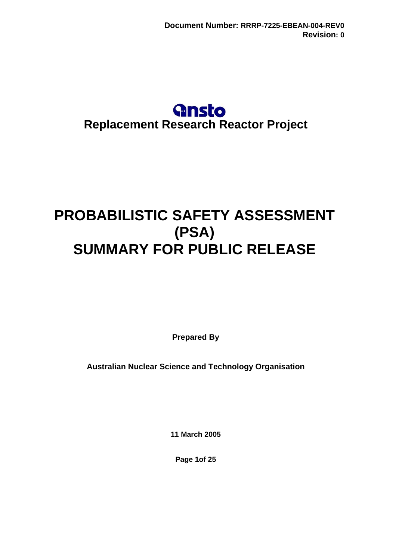## **Gnsto Replacement Research Reactor Project**

# **PROBABILISTIC SAFETY ASSESSMENT (PSA) SUMMARY FOR PUBLIC RELEASE**

**Prepared By** 

**Australian Nuclear Science and Technology Organisation** 

**11 March 2005**

**Page 1of 25**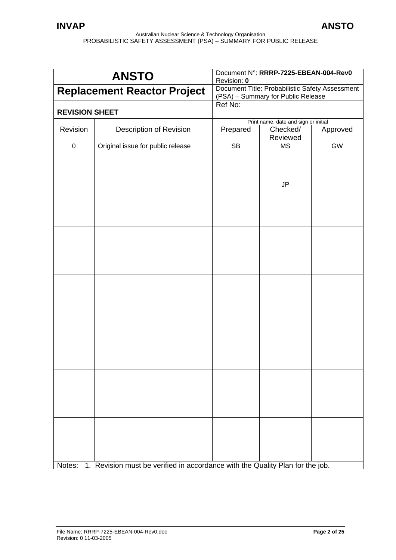|                       | <b>ANSTO</b>                                                                         | Document N°: RRRP-7225-EBEAN-004-Rev0<br>Revision: 0                                  |                                      |          |
|-----------------------|--------------------------------------------------------------------------------------|---------------------------------------------------------------------------------------|--------------------------------------|----------|
|                       | <b>Replacement Reactor Project</b>                                                   | Document Title: Probabilistic Safety Assessment<br>(PSA) - Summary for Public Release |                                      |          |
| <b>REVISION SHEET</b> |                                                                                      | Ref No:                                                                               |                                      |          |
|                       |                                                                                      |                                                                                       | Print name, date and sign or initial |          |
| Revision              | Description of Revision                                                              | Prepared                                                                              | Checked/                             | Approved |
|                       |                                                                                      |                                                                                       | Reviewed                             |          |
| $\overline{0}$        | Original issue for public release                                                    | $\overline{\text{SB}}$                                                                | <b>MS</b><br><b>JP</b>               | GW       |
|                       |                                                                                      |                                                                                       |                                      |          |
|                       |                                                                                      |                                                                                       |                                      |          |
|                       |                                                                                      |                                                                                       |                                      |          |
|                       |                                                                                      |                                                                                       |                                      |          |
|                       |                                                                                      |                                                                                       |                                      |          |
|                       | Notes: 1. Revision must be verified in accordance with the Quality Plan for the job. |                                                                                       |                                      |          |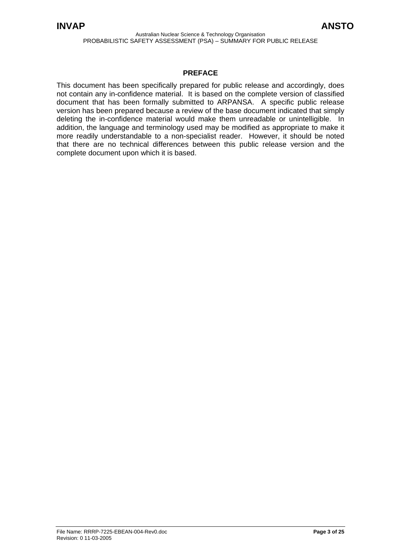#### **PREFACE**

This document has been specifically prepared for public release and accordingly, does not contain any in-confidence material. It is based on the complete version of classified document that has been formally submitted to ARPANSA. A specific public release version has been prepared because a review of the base document indicated that simply deleting the in-confidence material would make them unreadable or unintelligible. In addition, the language and terminology used may be modified as appropriate to make it more readily understandable to a non-specialist reader. However, it should be noted that there are no technical differences between this public release version and the complete document upon which it is based.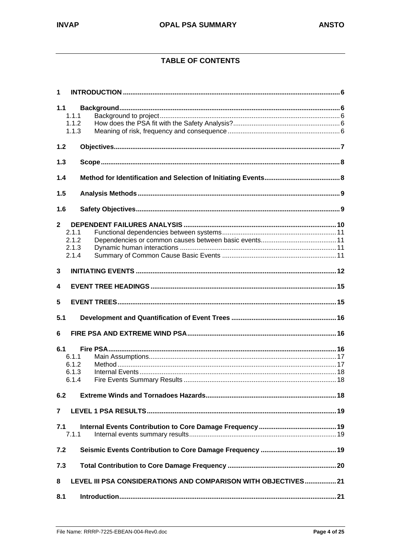## **TABLE OF CONTENTS**

| 1              |                                                                |  |  |  |
|----------------|----------------------------------------------------------------|--|--|--|
| 1.1<br>1.1.1   |                                                                |  |  |  |
| 1.1.2<br>1.1.3 |                                                                |  |  |  |
| 1.2            |                                                                |  |  |  |
| 1.3            |                                                                |  |  |  |
| 1.4            |                                                                |  |  |  |
| 1.5            |                                                                |  |  |  |
| 1.6            |                                                                |  |  |  |
| $\mathbf{2}$   |                                                                |  |  |  |
| 211            |                                                                |  |  |  |
| 2.1.2          |                                                                |  |  |  |
| 2.1.3          |                                                                |  |  |  |
| 2.1.4          |                                                                |  |  |  |
| 3              |                                                                |  |  |  |
| 4              |                                                                |  |  |  |
| 5              |                                                                |  |  |  |
| 5.1            |                                                                |  |  |  |
| 6              |                                                                |  |  |  |
| 6.1            |                                                                |  |  |  |
| 6.1.1          |                                                                |  |  |  |
| 6.1.2          |                                                                |  |  |  |
| 6.1.3          |                                                                |  |  |  |
| 6.1.4          |                                                                |  |  |  |
| 6.2            |                                                                |  |  |  |
| 7              |                                                                |  |  |  |
| 7.1<br>7.1.1   |                                                                |  |  |  |
| 7.2            |                                                                |  |  |  |
| 7.3            |                                                                |  |  |  |
| 8              | LEVEL III PSA CONSIDERATIONS AND COMPARISON WITH OBJECTIVES 21 |  |  |  |
| 8.1            |                                                                |  |  |  |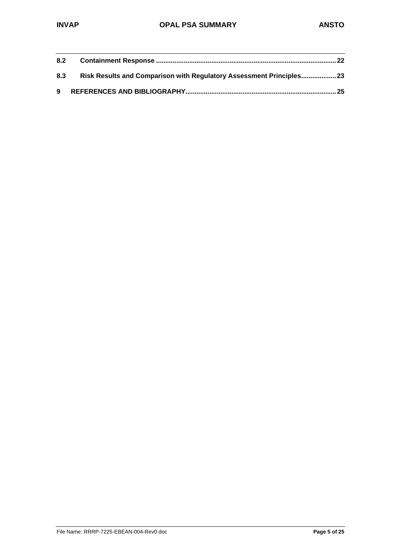| 8.2 |                                                                     |  |
|-----|---------------------------------------------------------------------|--|
| 8.3 | Risk Results and Comparison with Regulatory Assessment Principles23 |  |
|     |                                                                     |  |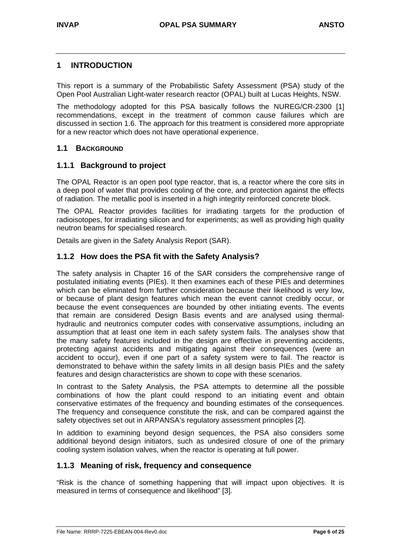## **1 INTRODUCTION**

This report is a summary of the Probabilistic Safety Assessment (PSA) study of the Open Pool Australian Light-water research reactor (OPAL) built at Lucas Heights, NSW.

The methodology adopted for this PSA basically follows the NUREG/CR-2300 [1] recommendations, except in the treatment of common cause failures which are discussed in section 1.6. The approach for this treatment is considered more appropriate for a new reactor which does not have operational experience.

## **1.1 BACKGROUND**

## **1.1.1 Background to project**

The OPAL Reactor is an open pool type reactor, that is, a reactor where the core sits in a deep pool of water that provides cooling of the core, and protection against the effects of radiation. The metallic pool is inserted in a high integrity reinforced concrete block.

The OPAL Reactor provides facilities for irradiating targets for the production of radioisotopes, for irradiating silicon and for experiments; as well as providing high quality neutron beams for specialised research.

Details are given in the Safety Analysis Report (SAR).

## **1.1.2 How does the PSA fit with the Safety Analysis?**

The safety analysis in Chapter 16 of the SAR considers the comprehensive range of postulated initiating events (PIEs). It then examines each of these PIEs and determines which can be eliminated from further consideration because their likelihood is very low, or because of plant design features which mean the event cannot credibly occur, or because the event consequences are bounded by other initiating events. The events that remain are considered Design Basis events and are analysed using thermalhydraulic and neutronics computer codes with conservative assumptions, including an assumption that at least one item in each safety system fails. The analyses show that the many safety features included in the design are effective in preventing accidents, protecting against accidents and mitigating against their consequences (were an accident to occur), even if one part of a safety system were to fail. The reactor is demonstrated to behave within the safety limits in all design basis PIEs and the safety features and design characteristics are shown to cope with these scenarios.

In contrast to the Safety Analysis, the PSA attempts to determine all the possible combinations of how the plant could respond to an initiating event and obtain conservative estimates of the frequency and bounding estimates of the consequences. The frequency and consequence constitute the risk, and can be compared against the safety objectives set out in ARPANSA's regulatory assessment principles [2].

In addition to examining beyond design sequences, the PSA also considers some additional beyond design initiators, such as undesired closure of one of the primary cooling system isolation valves, when the reactor is operating at full power.

#### **1.1.3 Meaning of risk, frequency and consequence**

"Risk is the chance of something happening that will impact upon objectives. It is measured in terms of consequence and likelihood" [3].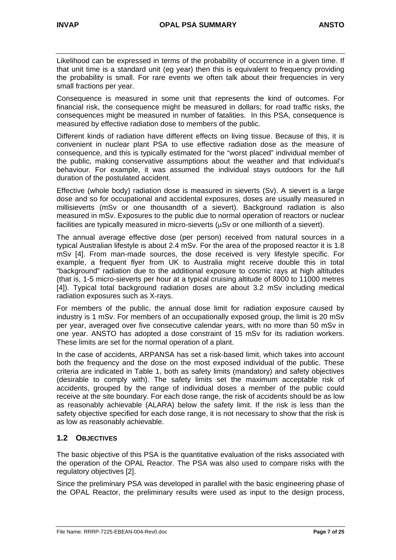Likelihood can be expressed in terms of the probability of occurrence in a given time. If that unit time is a standard unit (eg year) then this is equivalent to frequency providing the probability is small. For rare events we often talk about their frequencies in very small fractions per year.

Consequence is measured in some unit that represents the kind of outcomes. For financial risk, the consequence might be measured in dollars; for road traffic risks, the consequences might be measured in number of fatalities. In this PSA, consequence is measured by effective radiation dose to members of the public.

Different kinds of radiation have different effects on living tissue. Because of this, it is convenient in nuclear plant PSA to use effective radiation dose as the measure of consequence, and this is typically estimated for the "worst placed" individual member of the public, making conservative assumptions about the weather and that individual's behaviour. For example, it was assumed the individual stays outdoors for the full duration of the postulated accident.

Effective (whole body) radiation dose is measured in sieverts (Sv). A sievert is a large dose and so for occupational and accidental exposures, doses are usually measured in millisieverts (mSv or one thousandth of a sievert). Background radiation is also measured in mSv. Exposures to the public due to normal operation of reactors or nuclear facilities are typically measured in micro-sieverts ( $\mu Sv$  or one millionth of a sievert).

The annual average effective dose (per person) received from natural sources in a typical Australian lifestyle is about 2.4 mSv. For the area of the proposed reactor it is 1.8 mSv [4]. From man-made sources, the dose received is very lifestyle specific. For example, a frequent flyer from UK to Australia might receive double this in total "background" radiation due to the additional exposure to cosmic rays at high altitudes (that is, 1-5 micro-sieverts per hour at a typical cruising altitude of 8000 to 11000 metres [4]). Typical total background radiation doses are about 3.2 mSv including medical radiation exposures such as X-rays.

For members of the public, the annual dose limit for radiation exposure caused by industry is 1 mSv. For members of an occupationally exposed group, the limit is 20 mSv per year, averaged over five consecutive calendar years, with no more than 50 mSv in one year. ANSTO has adopted a dose constraint of 15 mSv for its radiation workers. These limits are set for the normal operation of a plant.

In the case of accidents, ARPANSA has set a risk-based limit, which takes into account both the frequency and the dose on the most exposed individual of the public. These criteria are indicated in Table 1, both as safety limits (mandatory) and safety objectives (desirable to comply with). The safety limits set the maximum acceptable risk of accidents, grouped by the range of individual doses a member of the public could receive at the site boundary. For each dose range, the risk of accidents should be as low as reasonably achievable (ALARA) below the safety limit. If the risk is less than the safety objective specified for each dose range, it is not necessary to show that the risk is as low as reasonably achievable.

## **1.2 OBJECTIVES**

The basic objective of this PSA is the quantitative evaluation of the risks associated with the operation of the OPAL Reactor. The PSA was also used to compare risks with the regulatory objectives [2].

Since the preliminary PSA was developed in parallel with the basic engineering phase of the OPAL Reactor, the preliminary results were used as input to the design process,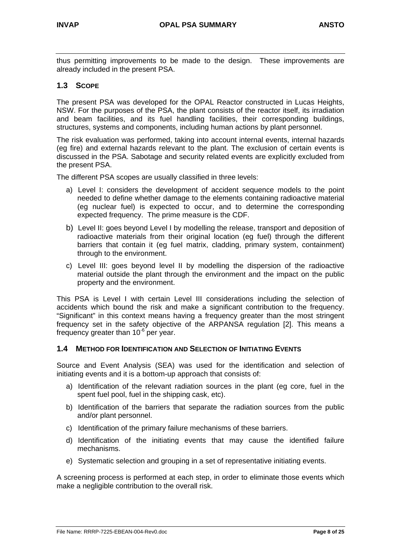thus permitting improvements to be made to the design. These improvements are already included in the present PSA.

## **1.3 SCOPE**

The present PSA was developed for the OPAL Reactor constructed in Lucas Heights, NSW. For the purposes of the PSA, the plant consists of the reactor itself, its irradiation and beam facilities, and its fuel handling facilities, their corresponding buildings, structures, systems and components, including human actions by plant personnel.

The risk evaluation was performed, taking into account internal events, internal hazards (eg fire) and external hazards relevant to the plant. The exclusion of certain events is discussed in the PSA. Sabotage and security related events are explicitly excluded from the present PSA.

The different PSA scopes are usually classified in three levels:

- a) Level I: considers the development of accident sequence models to the point needed to define whether damage to the elements containing radioactive material (eg nuclear fuel) is expected to occur, and to determine the corresponding expected frequency. The prime measure is the CDF.
- b) Level II: goes beyond Level I by modelling the release, transport and deposition of radioactive materials from their original location (eg fuel) through the different barriers that contain it (eg fuel matrix, cladding, primary system, containment) through to the environment.
- c) Level III: goes beyond level II by modelling the dispersion of the radioactive material outside the plant through the environment and the impact on the public property and the environment.

This PSA is Level I with certain Level III considerations including the selection of accidents which bound the risk and make a significant contribution to the frequency. "Significant" in this context means having a frequency greater than the most stringent frequency set in the safety objective of the ARPANSA regulation [2]. This means a frequency greater than  $10^{-6}$  per year.

#### **1.4 METHOD FOR IDENTIFICATION AND SELECTION OF INITIATING EVENTS**

Source and Event Analysis (SEA) was used for the identification and selection of initiating events and it is a bottom-up approach that consists of:

- a) Identification of the relevant radiation sources in the plant (eg core, fuel in the spent fuel pool, fuel in the shipping cask, etc).
- b) Identification of the barriers that separate the radiation sources from the public and/or plant personnel.
- c) Identification of the primary failure mechanisms of these barriers.
- d) Identification of the initiating events that may cause the identified failure mechanisms.
- e) Systematic selection and grouping in a set of representative initiating events.

A screening process is performed at each step, in order to eliminate those events which make a negligible contribution to the overall risk.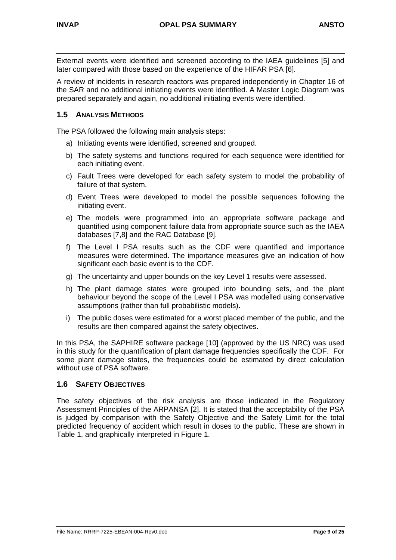External events were identified and screened according to the IAEA guidelines [5] and later compared with those based on the experience of the HIFAR PSA [6].

A review of incidents in research reactors was prepared independently in Chapter 16 of the SAR and no additional initiating events were identified. A Master Logic Diagram was prepared separately and again, no additional initiating events were identified.

## **1.5 ANALYSIS METHODS**

The PSA followed the following main analysis steps:

- a) Initiating events were identified, screened and grouped.
- b) The safety systems and functions required for each sequence were identified for each initiating event.
- c) Fault Trees were developed for each safety system to model the probability of failure of that system.
- d) Event Trees were developed to model the possible sequences following the initiating event.
- e) The models were programmed into an appropriate software package and quantified using component failure data from appropriate source such as the IAEA databases [7,8] and the RAC Database [9].
- f) The Level I PSA results such as the CDF were quantified and importance measures were determined. The importance measures give an indication of how significant each basic event is to the CDF.
- g) The uncertainty and upper bounds on the key Level 1 results were assessed.
- h) The plant damage states were grouped into bounding sets, and the plant behaviour beyond the scope of the Level I PSA was modelled using conservative assumptions (rather than full probabilistic models).
- i) The public doses were estimated for a worst placed member of the public, and the results are then compared against the safety objectives.

In this PSA, the SAPHIRE software package [10] (approved by the US NRC) was used in this study for the quantification of plant damage frequencies specifically the CDF. For some plant damage states, the frequencies could be estimated by direct calculation without use of PSA software.

### **1.6 SAFETY OBJECTIVES**

The safety objectives of the risk analysis are those indicated in the Regulatory Assessment Principles of the ARPANSA [2]. It is stated that the acceptability of the PSA is judged by comparison with the Safety Objective and the Safety Limit for the total predicted frequency of accident which result in doses to the public. These are shown in Table 1, and graphically interpreted in Figure 1.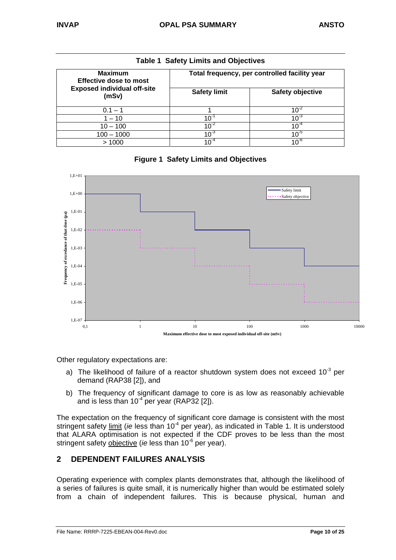| rable residery Limits and Objectives            |                     |                                               |  |  |  |
|-------------------------------------------------|---------------------|-----------------------------------------------|--|--|--|
| <b>Maximum</b><br><b>Effective dose to most</b> |                     | Total frequency, per controlled facility year |  |  |  |
| <b>Exposed individual off-site</b><br>(mSv)     | <b>Safety limit</b> | <b>Safety objective</b>                       |  |  |  |
| $0.1 - 1$                                       |                     | 10                                            |  |  |  |
| $1 - 10$                                        | $10^{-1}$           | $10^{-3}$                                     |  |  |  |
| $10 - 100$                                      | $10^{-2}$           | $10^{-4}$                                     |  |  |  |
| $100 - 1000$                                    | $10^{-3}$           | $10^{-5}$                                     |  |  |  |
| >1000                                           | $10^{-4}$           | 10 $^{\circ}$                                 |  |  |  |

|  |  | <b>Table 1 Safety Limits and Objectives</b> |
|--|--|---------------------------------------------|
|  |  |                                             |





Other regulatory expectations are:

- a) The likelihood of failure of a reactor shutdown system does not exceed  $10^{-3}$  per demand (RAP38 [2]), and
- b) The frequency of significant damage to core is as low as reasonably achievable and is less than  $10^{-4}$  per year (RAP32 [2]).

The expectation on the frequency of significant core damage is consistent with the most stringent safety limit (*ie* less than 10<sup>-4</sup> per year), as indicated in Table 1. It is understood that ALARA optimisation is not expected if the CDF proves to be less than the most stringent safety objective (*ie* less than 10<sup>-6</sup> per year).

## **2 DEPENDENT FAILURES ANALYSIS**

Operating experience with complex plants demonstrates that, although the likelihood of a series of failures is quite small, it is numerically higher than would be estimated solely from a chain of independent failures. This is because physical, human and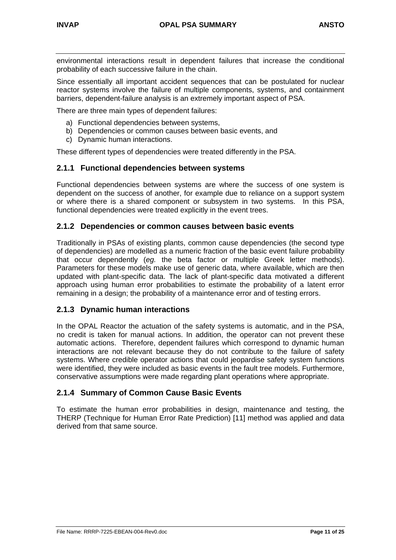environmental interactions result in dependent failures that increase the conditional probability of each successive failure in the chain.

Since essentially all important accident sequences that can be postulated for nuclear reactor systems involve the failure of multiple components, systems, and containment barriers, dependent-failure analysis is an extremely important aspect of PSA.

There are three main types of dependent failures:

- a) Functional dependencies between systems,
- b) Dependencies or common causes between basic events, and
- c) Dynamic human interactions.

These different types of dependencies were treated differently in the PSA.

#### **2.1.1 Functional dependencies between systems**

Functional dependencies between systems are where the success of one system is dependent on the success of another, for example due to reliance on a support system or where there is a shared component or subsystem in two systems. In this PSA, functional dependencies were treated explicitly in the event trees.

#### **2.1.2 Dependencies or common causes between basic events**

Traditionally in PSAs of existing plants, common cause dependencies (the second type of dependencies) are modelled as a numeric fraction of the basic event failure probability that occur dependently (*eg.* the beta factor or multiple Greek letter methods). Parameters for these models make use of generic data, where available, which are then updated with plant-specific data. The lack of plant-specific data motivated a different approach using human error probabilities to estimate the probability of a latent error remaining in a design; the probability of a maintenance error and of testing errors.

#### **2.1.3 Dynamic human interactions**

In the OPAL Reactor the actuation of the safety systems is automatic, and in the PSA, no credit is taken for manual actions. In addition, the operator can not prevent these automatic actions. Therefore, dependent failures which correspond to dynamic human interactions are not relevant because they do not contribute to the failure of safety systems. Where credible operator actions that could jeopardise safety system functions were identified, they were included as basic events in the fault tree models. Furthermore, conservative assumptions were made regarding plant operations where appropriate.

#### **2.1.4 Summary of Common Cause Basic Events**

To estimate the human error probabilities in design, maintenance and testing, the THERP (Technique for Human Error Rate Prediction) [11] method was applied and data derived from that same source.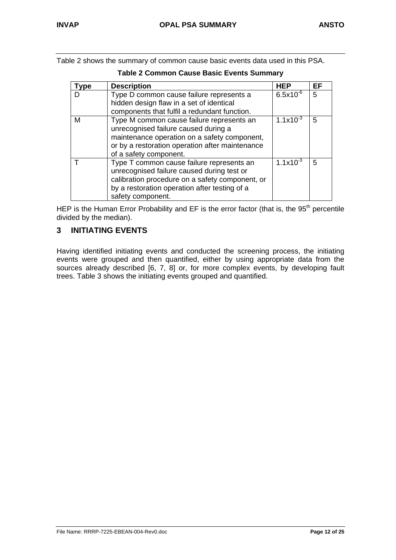Table 2 shows the summary of common cause basic events data used in this PSA.

| vpe | <b>Description</b>                                                                                                                                                                                               | HEP            | EF |
|-----|------------------------------------------------------------------------------------------------------------------------------------------------------------------------------------------------------------------|----------------|----|
|     | Type D common cause failure represents a<br>hidden design flaw in a set of identical<br>components that fulfil a redundant function.                                                                             | $6.5x10^{-6}$  | 5  |
| м   | Type M common cause failure represents an<br>unrecognised failure caused during a<br>maintenance operation on a safety component,<br>or by a restoration operation after maintenance<br>of a safety component.   | 1.1 $x10^{-3}$ | 5  |
|     | Type T common cause failure represents an<br>unrecognised failure caused during test or<br>calibration procedure on a safety component, or<br>by a restoration operation after testing of a<br>safety component. | 1.1 $x10^{-3}$ | 5  |

**Table 2 Common Cause Basic Events Summary**

HEP is the Human Error Probability and EF is the error factor (that is, the  $95<sup>th</sup>$  percentile divided by the median).

## **3 INITIATING EVENTS**

Having identified initiating events and conducted the screening process, the initiating events were grouped and then quantified, either by using appropriate data from the sources already described [6, 7, 8] or, for more complex events, by developing fault trees. Table 3 shows the initiating events grouped and quantified.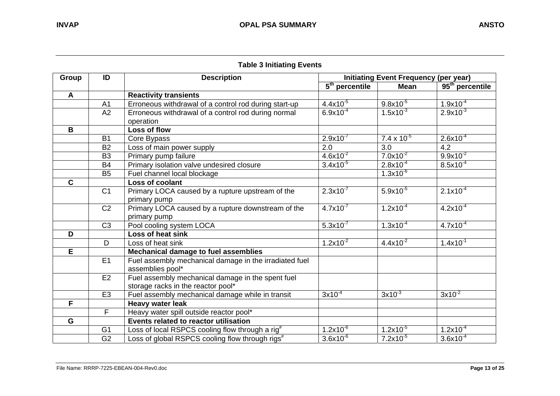|              | Table 5 Initiating Events |                                                             |                                              |                      |                             |
|--------------|---------------------------|-------------------------------------------------------------|----------------------------------------------|----------------------|-----------------------------|
| <b>Group</b> | ID                        | <b>Description</b>                                          | <b>Initiating Event Frequency (per year)</b> |                      |                             |
|              |                           |                                                             | $5th$ percentile                             | <b>Mean</b>          | 95 <sup>th</sup> percentile |
| A            |                           | <b>Reactivity transients</b>                                |                                              |                      |                             |
|              | A <sub>1</sub>            | Erroneous withdrawal of a control rod during start-up       | $4.4x10^{-5}$                                | $9.8x10^{-5}$        | $1.9x10^{-4}$               |
|              | A2                        | Erroneous withdrawal of a control rod during normal         | $6.9x10^{-4}$                                | $1.5x10^{-3}$        | $2.9x10^{-3}$               |
|              |                           | operation                                                   |                                              |                      |                             |
| B            |                           | Loss of flow                                                |                                              |                      |                             |
|              | <b>B1</b>                 | Core Bypass                                                 | $2.9x10^{-7}$                                | $7.4 \times 10^{-5}$ | $2.6x10^{-4}$               |
|              | <b>B2</b>                 | Loss of main power supply                                   | 2.0                                          | 3.0                  | 4.2                         |
|              | B <sub>3</sub>            | Primary pump failure                                        | $4.6x10^{-2}$                                | $7.0x10^{-2}$        | $9.9x10^{-2}$               |
|              | <b>B4</b>                 | Primary isolation valve undesired closure                   | $3.4x10^{-5}$                                | $2.8x10^{-4}$        | $8.5x10^{-4}$               |
|              | B <sub>5</sub>            | Fuel channel local blockage                                 |                                              | $1.3x10^{-6}$        |                             |
| $\mathbf C$  |                           | Loss of coolant                                             |                                              |                      |                             |
|              | C <sub>1</sub>            | Primary LOCA caused by a rupture upstream of the            | $2.3x10^{-7}$                                | $5.9x10^{-5}$        | $2.1x10^{-4}$               |
|              |                           | primary pump                                                |                                              |                      |                             |
|              | C <sub>2</sub>            | Primary LOCA caused by a rupture downstream of the          | $4.7x10^{-7}$                                | $1.2x10^{-4}$        | $4.2x10^{-4}$               |
|              |                           | primary pump                                                |                                              |                      |                             |
|              | C <sub>3</sub>            | Pool cooling system LOCA                                    | $5.3x10^{-7}$                                | $1.3x10^{-4}$        | $4.7x10^{-4}$               |
| D            |                           | Loss of heat sink                                           |                                              |                      |                             |
|              | D                         | Loss of heat sink                                           | $1.2x10^{-2}$                                | $4.4x10^{-2}$        | $1.4x10^{-1}$               |
| E.           |                           | Mechanical damage to fuel assemblies                        |                                              |                      |                             |
|              | E1                        | Fuel assembly mechanical damage in the irradiated fuel      |                                              |                      |                             |
|              |                           | assemblies pool*                                            |                                              |                      |                             |
|              | E <sub>2</sub>            | Fuel assembly mechanical damage in the spent fuel           |                                              |                      |                             |
|              |                           | storage racks in the reactor pool*                          |                                              |                      |                             |
|              | E <sub>3</sub>            | Fuel assembly mechanical damage while in transit            | $3x10^{-4}$                                  | $3x10^{-3}$          | $3x10^{2}$                  |
| F            |                           | <b>Heavy water leak</b>                                     |                                              |                      |                             |
|              | $\mathsf F$               | Heavy water spill outside reactor pool*                     |                                              |                      |                             |
| G            |                           | Events related to reactor utilisation                       |                                              |                      |                             |
|              | G <sub>1</sub>            | Loss of local RSPCS cooling flow through a rig <sup>#</sup> | $1.2x10^{-6}$                                | $1.2x10^{-5}$        | $1.2x10^{-4}$               |
|              | G <sub>2</sub>            | Loss of global RSPCS cooling flow through rigs <sup>#</sup> | $3.6x10^{-6}$                                | $7.2x10^{-5}$        | $3.6x10^{-4}$               |

## **Table 3 Initiating Events**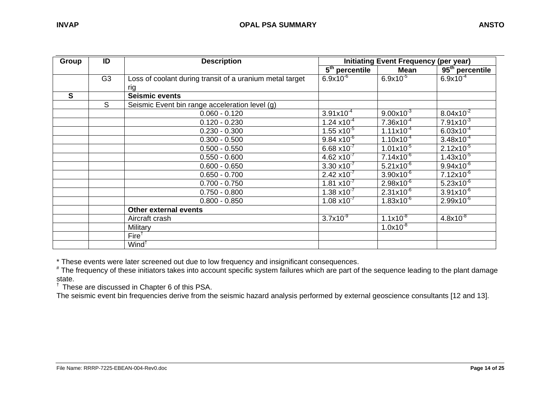| Group        | ID             | <b>Description</b>                                       | <b>Initiating Event Frequency (per year)</b> |                       |                             |
|--------------|----------------|----------------------------------------------------------|----------------------------------------------|-----------------------|-----------------------------|
|              |                |                                                          | $\overline{5^{th}}$ percentile               | Mean                  | 95 <sup>th</sup> percentile |
|              | G <sub>3</sub> | Loss of coolant during transit of a uranium metal target | $6.9x10^{-6}$                                | $6.9x10^{-5}$         | $6.9x10^{-4}$               |
|              |                | rig                                                      |                                              |                       |                             |
| $\mathbf{s}$ |                | <b>Seismic events</b>                                    |                                              |                       |                             |
|              | <sub>S</sub>   | Seismic Event bin range acceleration level (g)           |                                              |                       |                             |
|              |                | $0.060 - 0.120$                                          | $3.91x10^{-4}$                               | $9.00x10^{-3}$        | $8.04x10^{-2}$              |
|              |                | $0.120 - 0.230$                                          | $1.24 \times 10^{-4}$                        | $7.36x10^{-4}$        | $7.91x10^{-3}$              |
|              |                | $0.230 - 0.300$                                          | $1.55 \times 10^{-5}$                        | $1.11x10^{-4}$        | $6.03x10^{-4}$              |
|              |                | $0.300 - 0.500$                                          | $9.84 \times 10^{-6}$                        | $1.10x10^{-4}$        | $3.48x10^{-4}$              |
|              |                | $0.500 - 0.550$                                          | $6.68 \times 10^{-7}$                        | $1.01x10^{-5}$        | $2.12x10^{-5}$              |
|              |                | $0.550 - 0.600$                                          | $4.62 \times 10^{-7}$                        | $7.14 \times 10^{-6}$ | $1.43x10^{-5}$              |
|              |                | $0.600 - 0.650$                                          | $3.30 \times 10^{-7}$                        | $5.21x10^{-6}$        | $9.94x10^{-6}$              |
|              |                | $0.650 - 0.700$                                          | $2.42 \times 10^{-7}$                        | $3.90x10^{-6}$        | $7.12x10^{-6}$              |
|              |                | $0.700 - 0.750$                                          | $1.81 \times 10^{-7}$                        | $2.98x10^{-6}$        | $5.23x10^{-6}$              |
|              |                | $0.750 - 0.800$                                          | $1.38 \times 10^{-7}$                        | $2.31x10^{-6}$        | $3.91x10^{-6}$              |
|              |                | $0.800 - 0.850$                                          | $1.08 \times 10^{-7}$                        | $1.83x10^{-6}$        | $2.99x10^{-6}$              |
|              |                | <b>Other external events</b>                             |                                              |                       |                             |
|              |                | Aircraft crash                                           | $3.7x10^{-9}$                                | $1.1x10^{-8}$         | $4.8x10^{-8}$               |
|              |                | Military                                                 |                                              | $1.0x10^{-8}$         |                             |
|              |                | Fire <sup>†</sup>                                        |                                              |                       |                             |
|              |                | Wind <sup>†</sup>                                        |                                              |                       |                             |

\* These events were later screened out due to low frequency and insignificant consequences.

 $^*$  The frequency of these initiators takes into account specific system failures which are part of the sequence leading to the plant damage state.

 $\dagger$  These are discussed in Chapter 6 of this PSA.

The seismic event bin frequencies derive from the seismic hazard analysis performed by external geoscience consultants [12 and 13].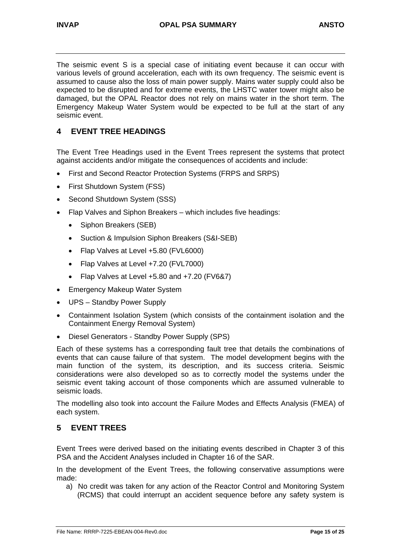The seismic event S is a special case of initiating event because it can occur with various levels of ground acceleration, each with its own frequency. The seismic event is assumed to cause also the loss of main power supply. Mains water supply could also be expected to be disrupted and for extreme events, the LHSTC water tower might also be damaged, but the OPAL Reactor does not rely on mains water in the short term. The Emergency Makeup Water System would be expected to be full at the start of any seismic event.

## **4 EVENT TREE HEADINGS**

The Event Tree Headings used in the Event Trees represent the systems that protect against accidents and/or mitigate the consequences of accidents and include:

- First and Second Reactor Protection Systems (FRPS and SRPS)
- First Shutdown System (FSS)
- Second Shutdown System (SSS)
- Flap Valves and Siphon Breakers which includes five headings:
	- Siphon Breakers (SEB)
	- Suction & Impulsion Siphon Breakers (S&I-SEB)
	- Flap Valves at Level +5.80 (FVL6000)
	- Flap Valves at Level +7.20 (FVL7000)
	- Flap Valves at Level +5.80 and +7.20 (FV6&7)
- Emergency Makeup Water System
- UPS Standby Power Supply
- Containment Isolation System (which consists of the containment isolation and the Containment Energy Removal System)
- Diesel Generators Standby Power Supply (SPS)

Each of these systems has a corresponding fault tree that details the combinations of events that can cause failure of that system. The model development begins with the main function of the system, its description, and its success criteria. Seismic considerations were also developed so as to correctly model the systems under the seismic event taking account of those components which are assumed vulnerable to seismic loads.

The modelling also took into account the Failure Modes and Effects Analysis (FMEA) of each system.

## **5 EVENT TREES**

Event Trees were derived based on the initiating events described in Chapter 3 of this PSA and the Accident Analyses included in Chapter 16 of the SAR.

In the development of the Event Trees, the following conservative assumptions were made:

a) No credit was taken for any action of the Reactor Control and Monitoring System (RCMS) that could interrupt an accident sequence before any safety system is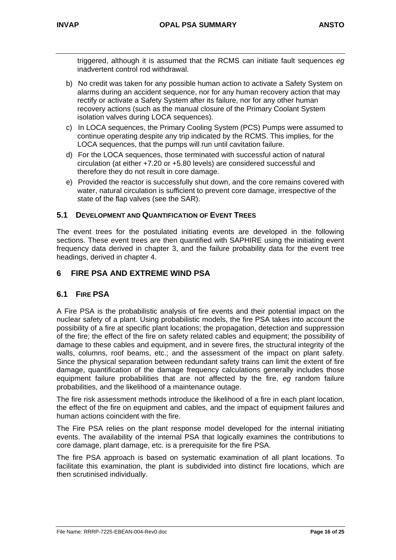triggered, although it is assumed that the RCMS can initiate fault sequences *eg* inadvertent control rod withdrawal.

- b) No credit was taken for any possible human action to activate a Safety System on alarms during an accident sequence, nor for any human recovery action that may rectify or activate a Safety System after its failure, nor for any other human recovery actions (such as the manual closure of the Primary Coolant System isolation valves during LOCA sequences).
- c) In LOCA sequences, the Primary Cooling System (PCS) Pumps were assumed to continue operating despite any trip indicated by the RCMS. This implies, for the LOCA sequences, that the pumps will run until cavitation failure.
- d) For the LOCA sequences, those terminated with successful action of natural circulation (at either +7.20 or +5.80 levels) are considered successful and therefore they do not result in core damage.
- e) Provided the reactor is successfully shut down, and the core remains covered with water, natural circulation is sufficient to prevent core damage, irrespective of the state of the flap valves (see the SAR).

## **5.1 DEVELOPMENT AND QUANTIFICATION OF EVENT TREES**

The event trees for the postulated initiating events are developed in the following sections. These event trees are then quantified with SAPHIRE using the initiating event frequency data derived in chapter 3, and the failure probability data for the event tree headings, derived in chapter 4.

## **6 FIRE PSA AND EXTREME WIND PSA**

## **6.1 FIRE PSA**

A Fire PSA is the probabilistic analysis of fire events and their potential impact on the nuclear safety of a plant. Using probabilistic models, the fire PSA takes into account the possibility of a fire at specific plant locations; the propagation, detection and suppression of the fire; the effect of the fire on safety related cables and equipment; the possibility of damage to these cables and equipment, and in severe fires, the structural integrity of the walls, columns, roof beams, etc.; and the assessment of the impact on plant safety. Since the physical separation between redundant safety trains can limit the extent of fire damage, quantification of the damage frequency calculations generally includes those equipment failure probabilities that are not affected by the fire, *eg* random failure probabilities, and the likelihood of a maintenance outage.

The fire risk assessment methods introduce the likelihood of a fire in each plant location, the effect of the fire on equipment and cables, and the impact of equipment failures and human actions coincident with the fire.

The Fire PSA relies on the plant response model developed for the internal initiating events. The availability of the internal PSA that logically examines the contributions to core damage, plant damage, etc. is a prerequisite for the fire PSA.

The fire PSA approach is based on systematic examination of all plant locations. To facilitate this examination, the plant is subdivided into distinct fire locations, which are then scrutinised individually.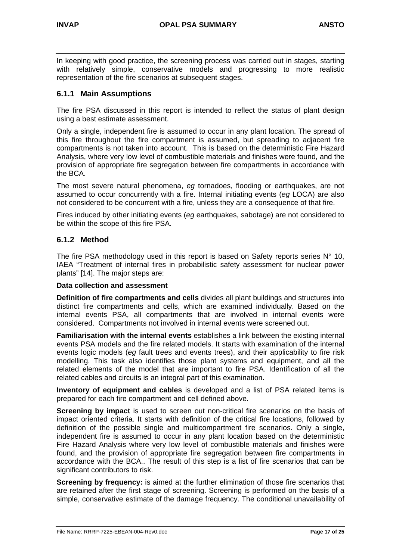In keeping with good practice, the screening process was carried out in stages, starting with relatively simple, conservative models and progressing to more realistic representation of the fire scenarios at subsequent stages.

## **6.1.1 Main Assumptions**

The fire PSA discussed in this report is intended to reflect the status of plant design using a best estimate assessment.

Only a single, independent fire is assumed to occur in any plant location. The spread of this fire throughout the fire compartment is assumed, but spreading to adjacent fire compartments is not taken into account. This is based on the deterministic Fire Hazard Analysis, where very low level of combustible materials and finishes were found, and the provision of appropriate fire segregation between fire compartments in accordance with the BCA.

The most severe natural phenomena, *eg* tornadoes, flooding or earthquakes, are not assumed to occur concurrently with a fire. Internal initiating events (*eg* LOCA) are also not considered to be concurrent with a fire, unless they are a consequence of that fire.

Fires induced by other initiating events (*eg* earthquakes, sabotage) are not considered to be within the scope of this fire PSA.

## **6.1.2 Method**

The fire PSA methodology used in this report is based on Safety reports series N° 10, IAEA "Treatment of internal fires in probabilistic safety assessment for nuclear power plants" [14]. The major steps are:

#### **Data collection and assessment**

**Definition of fire compartments and cells** divides all plant buildings and structures into distinct fire compartments and cells, which are examined individually. Based on the internal events PSA, all compartments that are involved in internal events were considered. Compartments not involved in internal events were screened out.

**Familiarisation with the internal events** establishes a link between the existing internal events PSA models and the fire related models. It starts with examination of the internal events logic models (*eg* fault trees and events trees), and their applicability to fire risk modelling. This task also identifies those plant systems and equipment, and all the related elements of the model that are important to fire PSA. Identification of all the related cables and circuits is an integral part of this examination.

**Inventory of equipment and cables** is developed and a list of PSA related items is prepared for each fire compartment and cell defined above.

**Screening by impact** is used to screen out non-critical fire scenarios on the basis of impact oriented criteria. It starts with definition of the critical fire locations, followed by definition of the possible single and multicompartment fire scenarios. Only a single, independent fire is assumed to occur in any plant location based on the deterministic Fire Hazard Analysis where very low level of combustible materials and finishes were found, and the provision of appropriate fire segregation between fire compartments in accordance with the BCA.. The result of this step is a list of fire scenarios that can be significant contributors to risk.

**Screening by frequency:** is aimed at the further elimination of those fire scenarios that are retained after the first stage of screening. Screening is performed on the basis of a simple, conservative estimate of the damage frequency. The conditional unavailability of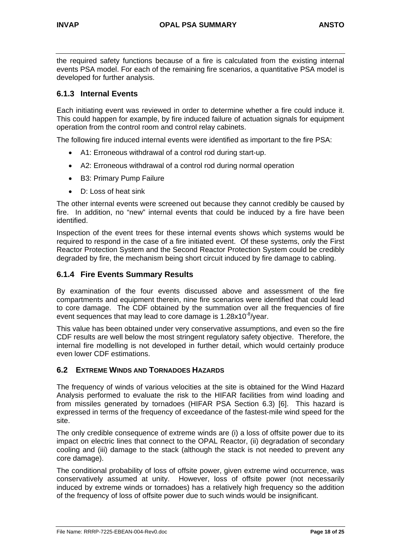the required safety functions because of a fire is calculated from the existing internal events PSA model. For each of the remaining fire scenarios, a quantitative PSA model is developed for further analysis.

## **6.1.3 Internal Events**

Each initiating event was reviewed in order to determine whether a fire could induce it. This could happen for example, by fire induced failure of actuation signals for equipment operation from the control room and control relay cabinets.

The following fire induced internal events were identified as important to the fire PSA:

- A1: Erroneous withdrawal of a control rod during start-up.
- A2: Erroneous withdrawal of a control rod during normal operation
- B3: Primary Pump Failure
- D: Loss of heat sink

The other internal events were screened out because they cannot credibly be caused by fire. In addition, no "new" internal events that could be induced by a fire have been identified.

Inspection of the event trees for these internal events shows which systems would be required to respond in the case of a fire initiated event. Of these systems, only the First Reactor Protection System and the Second Reactor Protection System could be credibly degraded by fire, the mechanism being short circuit induced by fire damage to cabling.

## **6.1.4 Fire Events Summary Results**

By examination of the four events discussed above and assessment of the fire compartments and equipment therein, nine fire scenarios were identified that could lead to core damage. The CDF obtained by the summation over all the frequencies of fire event sequences that may lead to core damage is  $1.28 \times 10^{-8}$ /year.

This value has been obtained under very conservative assumptions, and even so the fire CDF results are well below the most stringent regulatory safety objective. Therefore, the internal fire modelling is not developed in further detail, which would certainly produce even lower CDF estimations.

#### **6.2 EXTREME WINDS AND TORNADOES HAZARDS**

The frequency of winds of various velocities at the site is obtained for the Wind Hazard Analysis performed to evaluate the risk to the HIFAR facilities from wind loading and from missiles generated by tornadoes (HIFAR PSA Section 6.3) [6]. This hazard is expressed in terms of the frequency of exceedance of the fastest-mile wind speed for the site.

The only credible consequence of extreme winds are (i) a loss of offsite power due to its impact on electric lines that connect to the OPAL Reactor, (ii) degradation of secondary cooling and (iii) damage to the stack (although the stack is not needed to prevent any core damage).

The conditional probability of loss of offsite power, given extreme wind occurrence, was conservatively assumed at unity. However, loss of offsite power (not necessarily induced by extreme winds or tornadoes) has a relatively high frequency so the addition of the frequency of loss of offsite power due to such winds would be insignificant.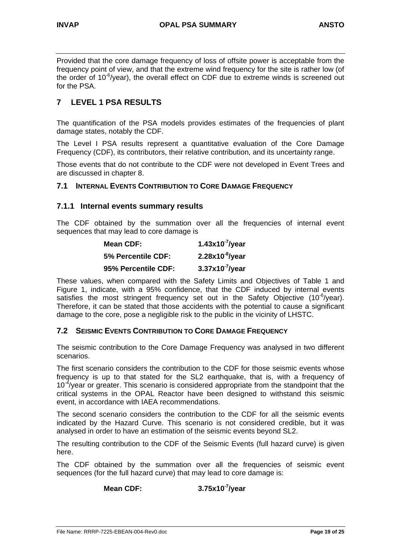Provided that the core damage frequency of loss of offsite power is acceptable from the frequency point of view, and that the extreme wind frequency for the site is rather low (of the order of  $10^{-6}$ /year), the overall effect on CDF due to extreme winds is screened out for the PSA.

## **7 LEVEL 1 PSA RESULTS**

The quantification of the PSA models provides estimates of the frequencies of plant damage states, notably the CDF.

The Level I PSA results represent a quantitative evaluation of the Core Damage Frequency (CDF), its contributors, their relative contribution, and its uncertainty range.

Those events that do not contribute to the CDF were not developed in Event Trees and are discussed in chapter 8.

#### **7.1 INTERNAL EVENTS CONTRIBUTION TO CORE DAMAGE FREQUENCY**

#### **7.1.1 Internal events summary results**

The CDF obtained by the summation over all the frequencies of internal event sequences that may lead to core damage is

| Mean CDF:           | 1.43x10 $\frac{7}{1}$ /year |
|---------------------|-----------------------------|
| 5% Percentile CDF:  | $2.28x10^{-8}$ /year        |
| 95% Percentile CDF: | $3.37x10-7/year$            |

These values, when compared with the Safety Limits and Objectives of Table 1 and Figure 1, indicate, with a 95% confidence, that the CDF induced by internal events satisfies the most stringent frequency set out in the Safety Objective (10<sup>-6</sup>/year). Therefore, it can be stated that those accidents with the potential to cause a significant damage to the core, pose a negligible risk to the public in the vicinity of LHSTC.

#### **7.2 SEISMIC EVENTS CONTRIBUTION TO CORE DAMAGE FREQUENCY**

The seismic contribution to the Core Damage Frequency was analysed in two different scenarios.

The first scenario considers the contribution to the CDF for those seismic events whose frequency is up to that stated for the SL2 earthquake, that is, with a frequency of  $10^{-4}$ /year or greater. This scenario is considered appropriate from the standpoint that the critical systems in the OPAL Reactor have been designed to withstand this seismic event, in accordance with IAEA recommendations.

The second scenario considers the contribution to the CDF for all the seismic events indicated by the Hazard Curve. This scenario is not considered credible, but it was analysed in order to have an estimation of the seismic events beyond SL2.

The resulting contribution to the CDF of the Seismic Events (full hazard curve) is given here.

The CDF obtained by the summation over all the frequencies of seismic event sequences (for the full hazard curve) that may lead to core damage is:

## **Mean CDF: 3.75x10-7/year**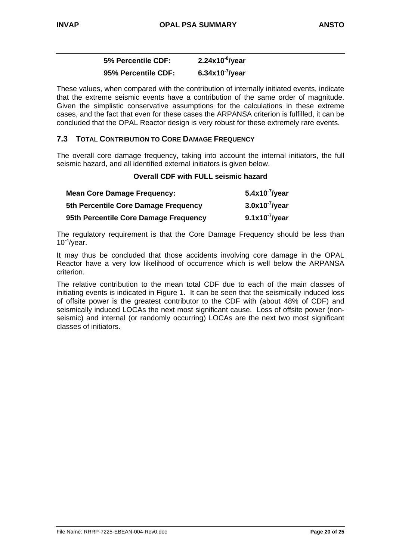## **5% Percentile CDF: 2.24x10-8/year 95% Percentile CDF: 6.34x10-7/year**

These values, when compared with the contribution of internally initiated events, indicate that the extreme seismic events have a contribution of the same order of magnitude. Given the simplistic conservative assumptions for the calculations in these extreme cases, and the fact that even for these cases the ARPANSA criterion is fulfilled, it can be concluded that the OPAL Reactor design is very robust for these extremely rare events.

## **7.3 TOTAL CONTRIBUTION TO CORE DAMAGE FREQUENCY**

The overall core damage frequency, taking into account the internal initiators, the full seismic hazard, and all identified external initiators is given below.

#### **Overall CDF with FULL seismic hazard**

| <b>Mean Core Damage Frequency:</b>    | $5.4x10^{-7}$ /year |
|---------------------------------------|---------------------|
| 5th Percentile Core Damage Frequency  | $3.0x10-7/year$     |
| 95th Percentile Core Damage Frequency | $9.1x10-7/year$     |

The regulatory requirement is that the Core Damage Frequency should be less than  $10^{-4}$ /year.

It may thus be concluded that those accidents involving core damage in the OPAL Reactor have a very low likelihood of occurrence which is well below the ARPANSA criterion.

The relative contribution to the mean total CDF due to each of the main classes of initiating events is indicated in Figure 1. It can be seen that the seismically induced loss of offsite power is the greatest contributor to the CDF with (about 48% of CDF) and seismically induced LOCAs the next most significant cause. Loss of offsite power (nonseismic) and internal (or randomly occurring) LOCAs are the next two most significant classes of initiators.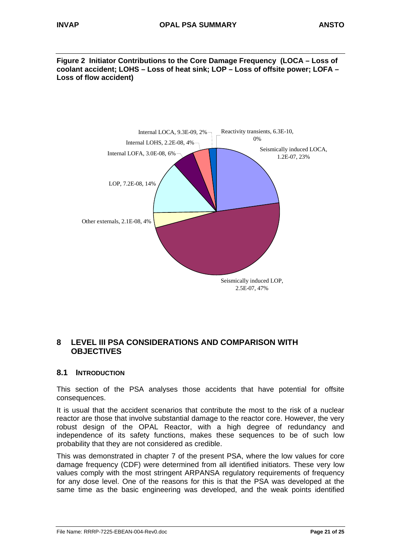**Figure 2 Initiator Contributions to the Core Damage Frequency (LOCA – Loss of coolant accident; LOHS – Loss of heat sink; LOP – Loss of offsite power; LOFA – Loss of flow accident)**



## **8 LEVEL III PSA CONSIDERATIONS AND COMPARISON WITH OBJECTIVES**

### **8.1 INTRODUCTION**

This section of the PSA analyses those accidents that have potential for offsite consequences.

It is usual that the accident scenarios that contribute the most to the risk of a nuclear reactor are those that involve substantial damage to the reactor core. However, the very robust design of the OPAL Reactor, with a high degree of redundancy and independence of its safety functions, makes these sequences to be of such low probability that they are not considered as credible.

This was demonstrated in chapter 7 of the present PSA, where the low values for core damage frequency (CDF) were determined from all identified initiators. These very low values comply with the most stringent ARPANSA regulatory requirements of frequency for any dose level. One of the reasons for this is that the PSA was developed at the same time as the basic engineering was developed, and the weak points identified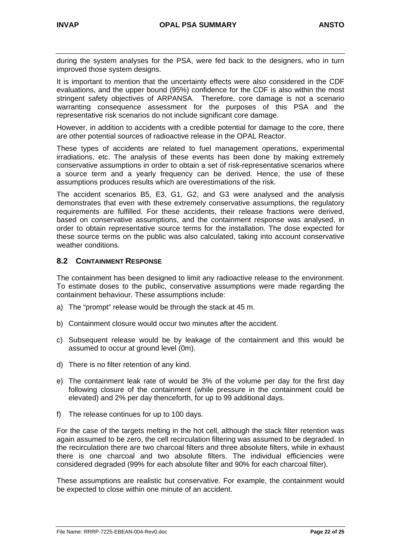during the system analyses for the PSA, were fed back to the designers, who in turn improved those system designs.

It is important to mention that the uncertainty effects were also considered in the CDF evaluations, and the upper bound (95%) confidence for the CDF is also within the most stringent safety objectives of ARPANSA. Therefore, core damage is not a scenario warranting consequence assessment for the purposes of this PSA and the representative risk scenarios do not include significant core damage.

However, in addition to accidents with a credible potential for damage to the core, there are other potential sources of radioactive release in the OPAL Reactor.

These types of accidents are related to fuel management operations, experimental irradiations, etc. The analysis of these events has been done by making extremely conservative assumptions in order to obtain a set of risk-representative scenarios where a source term and a yearly frequency can be derived. Hence, the use of these assumptions produces results which are overestimations of the risk.

The accident scenarios B5, E3, G1, G2, and G3 were analysed and the analysis demonstrates that even with these extremely conservative assumptions, the regulatory requirements are fulfilled. For these accidents, their release fractions were derived, based on conservative assumptions, and the containment response was analysed, in order to obtain representative source terms for the installation. The dose expected for these source terms on the public was also calculated, taking into account conservative weather conditions.

### **8.2 CONTAINMENT RESPONSE**

The containment has been designed to limit any radioactive release to the environment. To estimate doses to the public, conservative assumptions were made regarding the containment behaviour. These assumptions include:

- a) The "prompt" release would be through the stack at 45 m.
- b) Containment closure would occur two minutes after the accident.
- c) Subsequent release would be by leakage of the containment and this would be assumed to occur at ground level (0m).
- d) There is no filter retention of any kind.
- e) The containment leak rate of would be 3% of the volume per day for the first day following closure of the containment (while pressure in the containment could be elevated) and 2% per day thenceforth, for up to 99 additional days.
- f) The release continues for up to 100 days.

For the case of the targets melting in the hot cell, although the stack filter retention was again assumed to be zero, the cell recirculation filtering was assumed to be degraded. In the recirculation there are two charcoal filters and three absolute filters, while in exhaust there is one charcoal and two absolute filters. The individual efficiencies were considered degraded (99% for each absolute filter and 90% for each charcoal filter).

These assumptions are realistic but conservative. For example, the containment would be expected to close within one minute of an accident.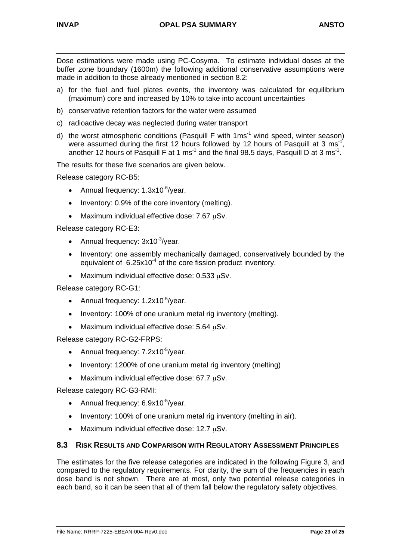Dose estimations were made using PC-Cosyma. To estimate individual doses at the buffer zone boundary (1600m) the following additional conservative assumptions were made in addition to those already mentioned in section 8.2:

- a) for the fuel and fuel plates events, the inventory was calculated for equilibrium (maximum) core and increased by 10% to take into account uncertainties
- b) conservative retention factors for the water were assumed
- c) radioactive decay was neglected during water transport
- d) the worst atmospheric conditions (Pasquill F with  $1 \text{ ms}^{-1}$  wind speed, winter season) were assumed during the first 12 hours followed by 12 hours of Pasquill at 3 ms<sup>-1</sup>, another 12 hours of Pasquill F at 1 ms<sup>-1</sup> and the final 98.5 days, Pasquill D at 3 ms<sup>-1</sup>.

The results for these five scenarios are given below.

Release category RC-B5:

- Annual frequency:  $1.3 \times 10^{-6}$ /year.
- Inventory: 0.9% of the core inventory (melting).
- Maximum individual effective dose: 7.67 uSv.

Release category RC-E3:

- Annual frequency:  $3x10^{-3}/year$ .
- Inventory: one assembly mechanically damaged, conservatively bounded by the equivalent of  $6.25x10^{-4}$  of the core fission product inventory.
- Maximum individual effective dose: 0.533 µSv.

Release category RC-G1:

- Annual frequency:  $1.2 \times 10^{-5}$ /year.
- Inventory: 100% of one uranium metal rig inventory (melting).
- Maximum individual effective dose: 5.64 uSv.

Release category RC-G2-FRPS:

- Annual frequency:  $7.2 \times 10^{-5}$ /year.
- Inventory: 1200% of one uranium metal rig inventory (melting)
- Maximum individual effective dose: 67.7 µSv.

Release category RC-G3-RMI:

- Annual frequency:  $6.9x10^{-5}/year$ .
- Inventory: 100% of one uranium metal rig inventory (melting in air).
- Maximum individual effective dose: 12.7 uSv.

#### **8.3 RISK RESULTS AND COMPARISON WITH REGULATORY ASSESSMENT PRINCIPLES**

The estimates for the five release categories are indicated in the following Figure 3, and compared to the regulatory requirements. For clarity, the sum of the frequencies in each dose band is not shown. There are at most, only two potential release categories in each band, so it can be seen that all of them fall below the regulatory safety objectives.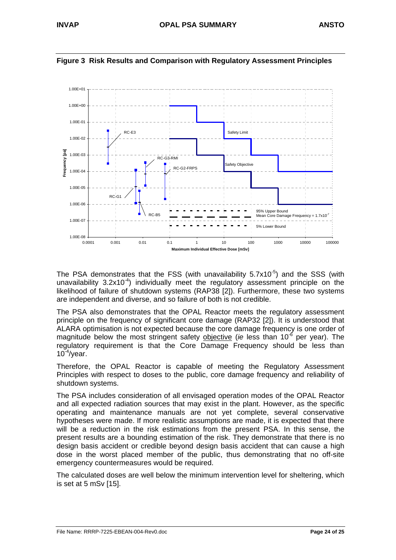

#### **Figure 3 Risk Results and Comparison with Regulatory Assessment Principles**

The PSA demonstrates that the FSS (with unavailability  $5.7x10^{-5}$ ) and the SSS (with unavailability  $3.2x10^{-4}$ ) individually meet the regulatory assessment principle on the likelihood of failure of shutdown systems (RAP38 [2]). Furthermore, these two systems are independent and diverse, and so failure of both is not credible.

The PSA also demonstrates that the OPAL Reactor meets the regulatory assessment principle on the frequency of significant core damage (RAP32 [2]). It is understood that ALARA optimisation is not expected because the core damage frequency is one order of magnitude below the most stringent safety objective (*ie* less than 10-6 per year). The regulatory requirement is that the Core Damage Frequency should be less than  $10^{-4}$ /year.

Therefore, the OPAL Reactor is capable of meeting the Regulatory Assessment Principles with respect to doses to the public, core damage frequency and reliability of shutdown systems.

The PSA includes consideration of all envisaged operation modes of the OPAL Reactor and all expected radiation sources that may exist in the plant. However, as the specific operating and maintenance manuals are not yet complete, several conservative hypotheses were made. If more realistic assumptions are made, it is expected that there will be a reduction in the risk estimations from the present PSA. In this sense, the present results are a bounding estimation of the risk. They demonstrate that there is no design basis accident or credible beyond design basis accident that can cause a high dose in the worst placed member of the public, thus demonstrating that no off-site emergency countermeasures would be required.

The calculated doses are well below the minimum intervention level for sheltering, which is set at 5 mSv [15].